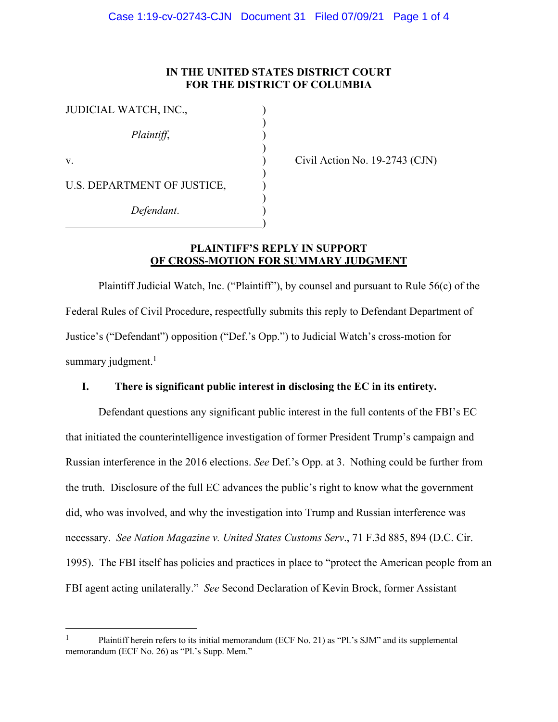## **IN THE UNITED STATES DISTRICT COURT FOR THE DISTRICT OF COLUMBIA**

| JUDICIAL WATCH, INC.,       |  |
|-----------------------------|--|
| Plaintiff,                  |  |
| V.                          |  |
| U.S. DEPARTMENT OF JUSTICE, |  |
| Defendant.                  |  |

 $\text{Civil Action No. } 19\text{-}2743 \text{ (CJN)}$ 

## **PLAINTIFF'S REPLY IN SUPPORT OF CROSS-MOTION FOR SUMMARY JUDGMENT**

Plaintiff Judicial Watch, Inc. ("Plaintiff"), by counsel and pursuant to Rule 56(c) of the Federal Rules of Civil Procedure, respectfully submits this reply to Defendant Department of Justice's ("Defendant") opposition ("Def.'s Opp.") to Judicial Watch's cross-motion for summary judgment.<sup>1</sup>

## **I. There is significant public interest in disclosing the EC in its entirety.**

Defendant questions any significant public interest in the full contents of the FBI's EC that initiated the counterintelligence investigation of former President Trump's campaign and Russian interference in the 2016 elections. *See* Def.'s Opp. at 3. Nothing could be further from the truth. Disclosure of the full EC advances the public's right to know what the government did, who was involved, and why the investigation into Trump and Russian interference was necessary. *See Nation Magazine v. United States Customs Serv*., 71 F.3d 885, 894 (D.C. Cir. 1995). The FBI itself has policies and practices in place to "protect the American people from an FBI agent acting unilaterally." *See* Second Declaration of Kevin Brock, former Assistant

<sup>&</sup>lt;sup>1</sup> Plaintiff herein refers to its initial memorandum (ECF No. 21) as "Pl.'s SJM" and its supplemental memorandum (ECF No. 26) as "Pl.'s Supp. Mem."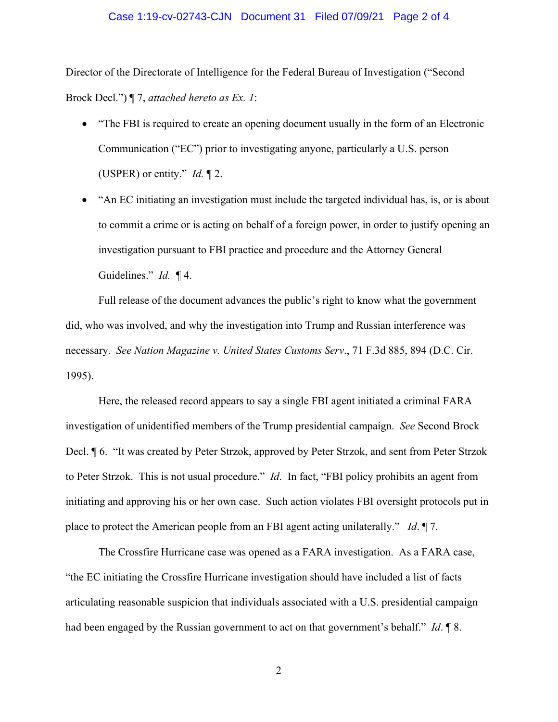#### Case 1:19-cv-02743-CJN Document 31 Filed 07/09/21 Page 2 of 4

Director of the Directorate of Intelligence for the Federal Bureau of Investigation ("Second Brock Decl.") ¶ 7, *attached hereto as Ex. 1*:

- "The FBI is required to create an opening document usually in the form of an Electronic Communication ("EC") prior to investigating anyone, particularly a U.S. person (USPER) or entity." *Id.* ¶ 2.
- "An EC initiating an investigation must include the targeted individual has, is, or is about to commit a crime or is acting on behalf of a foreign power, in order to justify opening an investigation pursuant to FBI practice and procedure and the Attorney General Guidelines." *Id.* ¶ 4.

Full release of the document advances the public's right to know what the government did, who was involved, and why the investigation into Trump and Russian interference was necessary. *See Nation Magazine v. United States Customs Serv*., 71 F.3d 885, 894 (D.C. Cir. 1995).

Here, the released record appears to say a single FBI agent initiated a criminal FARA investigation of unidentified members of the Trump presidential campaign. *See* Second Brock Decl. ¶ 6. "It was created by Peter Strzok, approved by Peter Strzok, and sent from Peter Strzok to Peter Strzok. This is not usual procedure." *Id*. In fact, "FBI policy prohibits an agent from initiating and approving his or her own case. Such action violates FBI oversight protocols put in place to protect the American people from an FBI agent acting unilaterally." *Id*. ¶ 7.

The Crossfire Hurricane case was opened as a FARA investigation. As a FARA case, "the EC initiating the Crossfire Hurricane investigation should have included a list of facts articulating reasonable suspicion that individuals associated with a U.S. presidential campaign had been engaged by the Russian government to act on that government's behalf." *Id*. ¶ 8.

2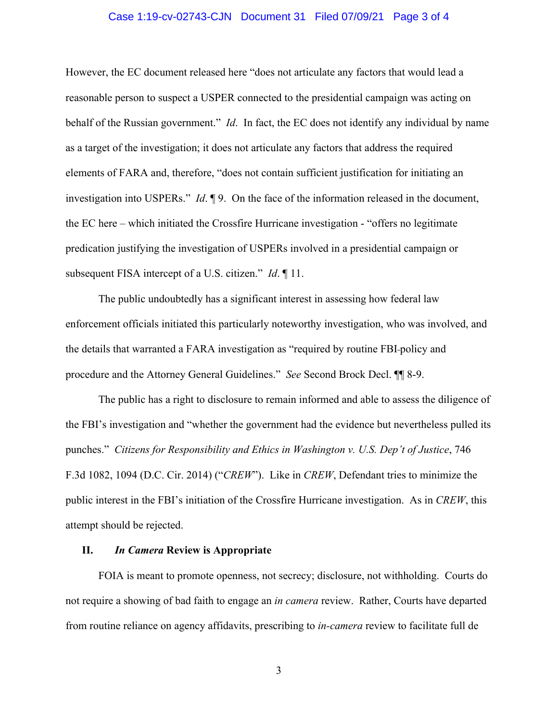#### Case 1:19-cv-02743-CJN Document 31 Filed 07/09/21 Page 3 of 4

However, the EC document released here "does not articulate any factors that would lead a reasonable person to suspect a USPER connected to the presidential campaign was acting on behalf of the Russian government." *Id*. In fact, the EC does not identify any individual by name as a target of the investigation; it does not articulate any factors that address the required elements of FARA and, therefore, "does not contain sufficient justification for initiating an investigation into USPERs." *Id*. ¶ 9. On the face of the information released in the document, the EC here – which initiated the Crossfire Hurricane investigation - "offers no legitimate predication justifying the investigation of USPERs involved in a presidential campaign or subsequent FISA intercept of a U.S. citizen." *Id*. ¶ 11.

The public undoubtedly has a significant interest in assessing how federal law enforcement officials initiated this particularly noteworthy investigation, who was involved, and the details that warranted a FARA investigation as "required by routine FBI policy and procedure and the Attorney General Guidelines." *See* Second Brock Decl. ¶¶ 8-9.

The public has a right to disclosure to remain informed and able to assess the diligence of the FBI's investigation and "whether the government had the evidence but nevertheless pulled its punches." *Citizens for Responsibility and Ethics in Washington v. U.S. Dep't of Justice*, 746 F.3d 1082, 1094 (D.C. Cir. 2014) ("*CREW*"). Like in *CREW*, Defendant tries to minimize the public interest in the FBI's initiation of the Crossfire Hurricane investigation. As in *CREW*, this attempt should be rejected.

#### **II.** *In Camera* **Review is Appropriate**

FOIA is meant to promote openness, not secrecy; disclosure, not withholding. Courts do not require a showing of bad faith to engage an *in camera* review. Rather, Courts have departed from routine reliance on agency affidavits, prescribing to *in-camera* review to facilitate full de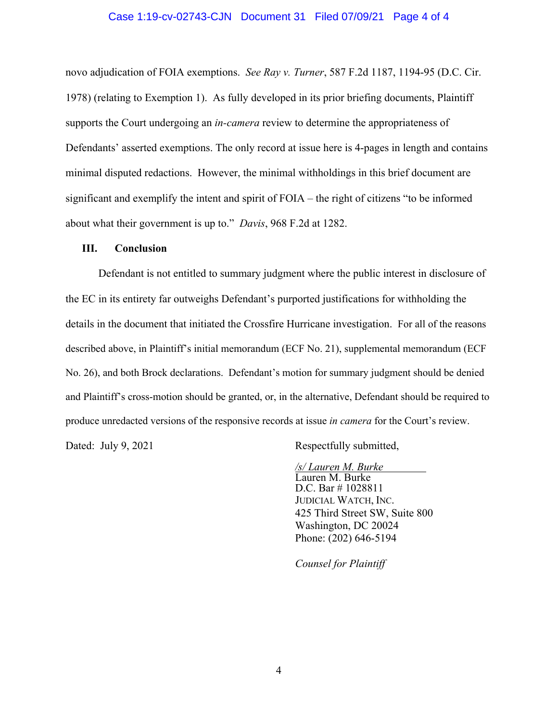#### Case 1:19-cv-02743-CJN Document 31 Filed 07/09/21 Page 4 of 4

novo adjudication of FOIA exemptions. *See Ray v. Turner*, 587 F.2d 1187, 1194-95 (D.C. Cir. 1978) (relating to Exemption 1). As fully developed in its prior briefing documents, Plaintiff supports the Court undergoing an *in-camera* review to determine the appropriateness of Defendants' asserted exemptions. The only record at issue here is 4-pages in length and contains minimal disputed redactions. However, the minimal withholdings in this brief document are significant and exemplify the intent and spirit of FOIA – the right of citizens "to be informed about what their government is up to." *Davis*, 968 F.2d at 1282.

#### **III. Conclusion**

Defendant is not entitled to summary judgment where the public interest in disclosure of the EC in its entirety far outweighs Defendant's purported justifications for withholding the details in the document that initiated the Crossfire Hurricane investigation. For all of the reasons described above, in Plaintiff's initial memorandum (ECF No. 21), supplemental memorandum (ECF No. 26), and both Brock declarations. Defendant's motion for summary judgment should be denied and Plaintiff's cross-motion should be granted, or, in the alternative, Defendant should be required to produce unredacted versions of the responsive records at issue *in camera* for the Court's review.

Dated: July 9, 2021 Respectfully submitted,

*/s/ Lauren M. Burke* Lauren M. Burke D.C. Bar # 1028811 JUDICIAL WATCH, INC. 425 Third Street SW, Suite 800 Washington, DC 20024 Phone: (202) 646-5194

*Counsel for Plaintiff*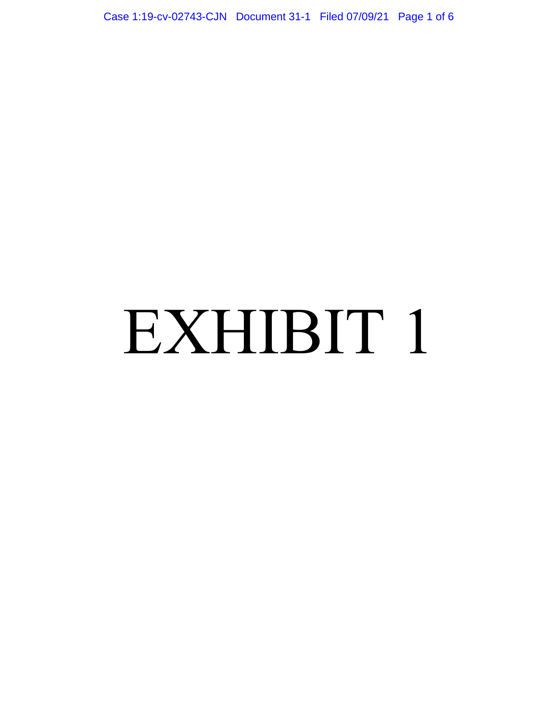Case 1:19-cv-02743-CJN Document 31-1 Filed 07/09/21 Page 1 of 6

# EXHIBIT 1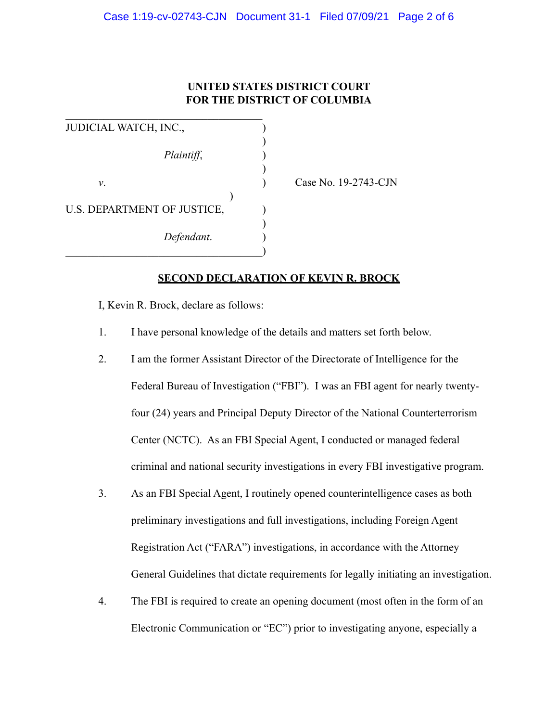# **UNITED STATES DISTRICT COURT FOR THE DISTRICT OF COLUMBIA**

| JUDICIAL WATCH, INC.,       |                      |
|-----------------------------|----------------------|
| Plaintiff,                  |                      |
| ν.                          | Case No. 19-2743-CJN |
|                             |                      |
| U.S. DEPARTMENT OF JUSTICE, |                      |
|                             |                      |
| Defendant.                  |                      |
|                             |                      |

# **SECOND DECLARATION OF KEVIN R. BROCK**

I, Kevin R. Brock, declare as follows:

 $\mathcal{L}_\text{max}$ 

- 1. I have personal knowledge of the details and matters set forth below.
- 2. I am the former Assistant Director of the Directorate of Intelligence for the Federal Bureau of Investigation ("FBI"). I was an FBI agent for nearly twentyfour (24) years and Principal Deputy Director of the National Counterterrorism Center (NCTC). As an FBI Special Agent, I conducted or managed federal criminal and national security investigations in every FBI investigative program.
- 3. As an FBI Special Agent, I routinely opened counterintelligence cases as both preliminary investigations and full investigations, including Foreign Agent Registration Act ("FARA") investigations, in accordance with the Attorney General Guidelines that dictate requirements for legally initiating an investigation.
- 4. The FBI is required to create an opening document (most often in the form of an Electronic Communication or "EC") prior to investigating anyone, especially a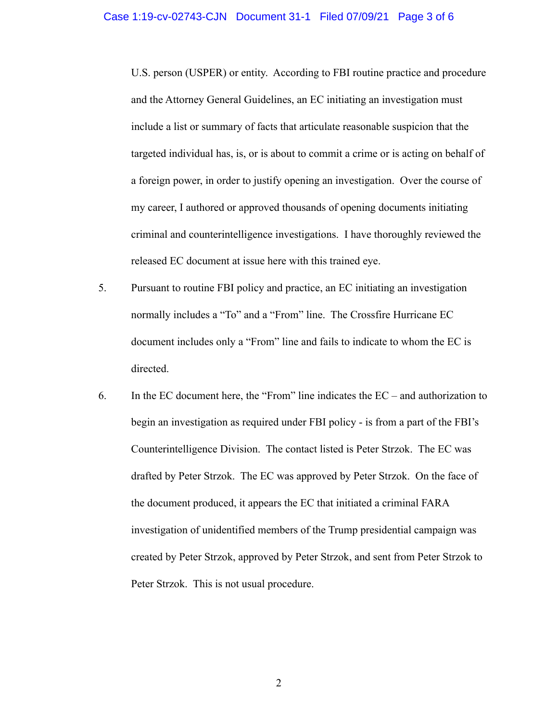U.S. person (USPER) or entity. According to FBI routine practice and procedure and the Attorney General Guidelines, an EC initiating an investigation must include a list or summary of facts that articulate reasonable suspicion that the targeted individual has, is, or is about to commit a crime or is acting on behalf of a foreign power, in order to justify opening an investigation. Over the course of my career, I authored or approved thousands of opening documents initiating criminal and counterintelligence investigations. I have thoroughly reviewed the released EC document at issue here with this trained eye.

- 5. Pursuant to routine FBI policy and practice, an EC initiating an investigation normally includes a "To" and a "From" line. The Crossfire Hurricane EC document includes only a "From" line and fails to indicate to whom the EC is directed.
- 6. In the EC document here, the "From" line indicates the EC and authorization to begin an investigation as required under FBI policy - is from a part of the FBI's Counterintelligence Division. The contact listed is Peter Strzok. The EC was drafted by Peter Strzok. The EC was approved by Peter Strzok. On the face of the document produced, it appears the EC that initiated a criminal FARA investigation of unidentified members of the Trump presidential campaign was created by Peter Strzok, approved by Peter Strzok, and sent from Peter Strzok to Peter Strzok. This is not usual procedure.

2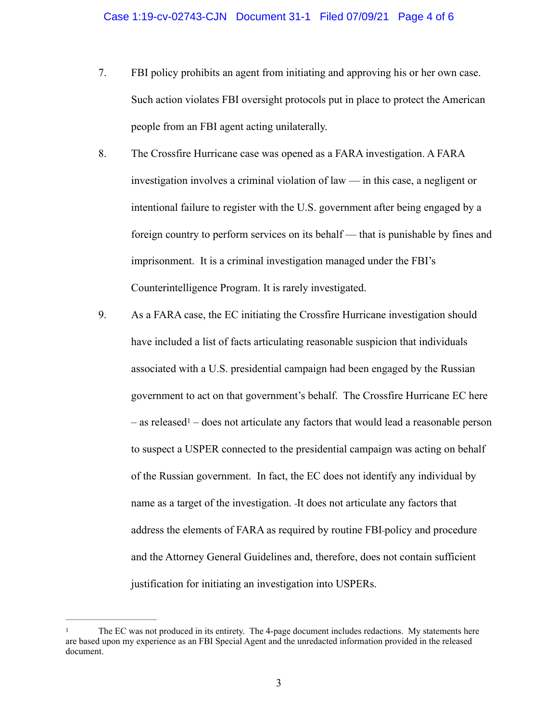- 7. FBI policy prohibits an agent from initiating and approving his or her own case. Such action violates FBI oversight protocols put in place to protect the American people from an FBI agent acting unilaterally.
- 8. The Crossfire Hurricane case was opened as a FARA investigation. A FARA investigation involves a criminal violation of law — in this case, a negligent or intentional failure to register with the U.S. government after being engaged by a foreign country to perform services on its behalf — that is punishable by fines and imprisonment. It is a criminal investigation managed under the FBI's Counterintelligence Program. It is rarely investigated.
- <span id="page-7-1"></span>9. As a FARA case, the EC initiating the Crossfire Hurricane investigation should have included a list of facts articulating reasonable suspicion that individuals associated with a U.S. presidential campaign had been engaged by the Russian government to act on that government's behalf. The Crossfire Hurricane EC here  $-$  as release[d](#page-7-0)<sup>[1](#page-7-0)</sup> – does not articulate any factors that would lead a reasonable person to suspect a USPER connected to the presidential campaign was acting on behalf of the Russian government. In fact, the EC does not identify any individual by name as a target of the investigation. It does not articulate any factors that address the elements of FARA as required by routine FBI policy and procedure and the Attorney General Guidelines and, therefore, does not contain sufficient justification for initiating an investigation into USPERs.

<span id="page-7-0"></span>The EC was not produced in its entirety. The 4-page document includes redactions. My statements here are based upon my experience as an FBI Special Agent and the unredacted information provided in the released document.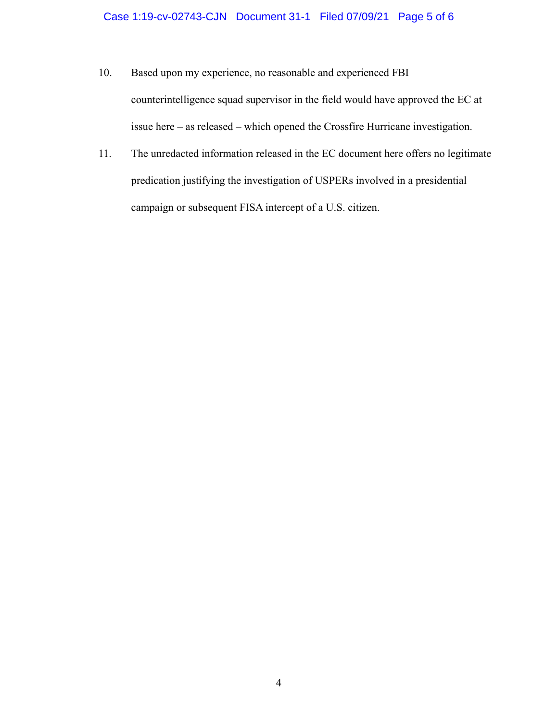## Case 1:19-cv-02743-CJN Document 31-1 Filed 07/09/21 Page 5 of 6

- 10. Based upon my experience, no reasonable and experienced FBI counterintelligence squad supervisor in the field would have approved the EC at issue here – as released – which opened the Crossfire Hurricane investigation.
- 11. The unredacted information released in the EC document here offers no legitimate predication justifying the investigation of USPERs involved in a presidential campaign or subsequent FISA intercept of a U.S. citizen.